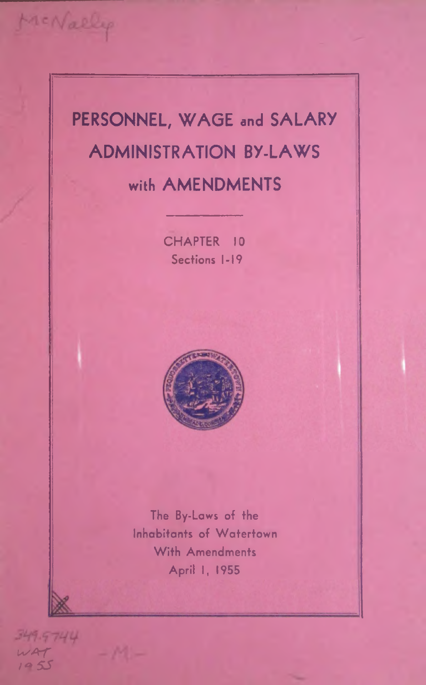**PERSONNEL, WAGE and SALARY ADMINISTRATION BY-LAWS with AMENDMENTS**

> **CHAPTER 10 Sections 1-19**



**The By-Laws of the Inhabitants of Watertown With Amendments April I, 1955**

 $349.5744$  $WAT$ *!< \* 55*

McNally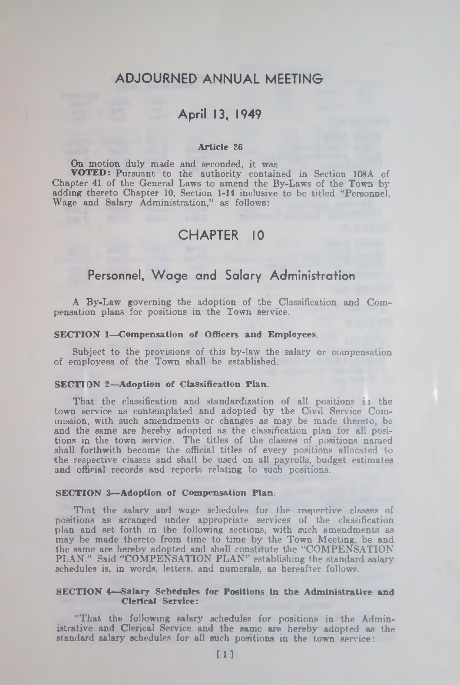# **ADJOURNED ANNUAL MEETING**

# **April 13, 1949**

#### Article 26

On motion duly made and seconded, it was VOTED: Pursuant to the authority contained in Section 108A of Chapter 41 of the General Laws to amend the By-Laws of the Town by adding thereto Chapter 10, Section 1-14 inclusive to be titled "Personnel, Wage and Salary Administration," as follows:

# **CHAPTER 10**

# **Personnel, Wage and Salary Administration**

A By-Law governing the adoption of the Classification and Compensation plans for positions in the Town service.

#### SECTION 1—Compensation of Officers and Employees.

Subject to the provisions of this by-law the salary or compensation of employees of the Town shall be established.

#### SECTI ON 2—Adoption of Classification Plan.

That the classification and standardization of all positions ii the town service as contemplated and adopted by the Civil Service Commission, with such amendments or changes as may be made thereto, be and the same are hereby adopted as the classification plan for all positions in the town service. The titles of the classes of positions named shall forthwith become the official titles of every positions allocated to the respective classes and shall be used on all payrolls, budget estimates and official records and reports relating to such positions.

#### SECTION 3—Adoption of Compensation Plan.

That the salary and wage schedules for the respective classes of positions as arranged under appropriate services of the classification plan and set forth in the following sections, with such amendments as may be made thereto from time to time by the Town Meeting, be and the same are hereby adopted and shall constitute the "COMPENSATION PLAN." Said "COMPENSATION PLAN" establishing the standard salary schedules is, in words, letters, and numerals, as hereafter follows.

#### SECTION 4—Salary Schedules for Positions In the Administrative and Clerical Service:

"That, the following salary schedules for positions in the Administrative and Clerical Service and the same are hereby adopted as the standard salary schedules for all such positions in the town service: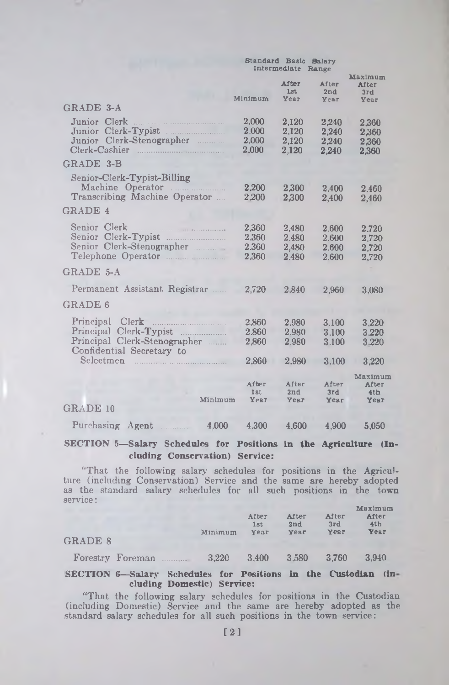|                                                                                                        | Standard Basic Salary<br>Intermediate<br>Range |                                  |                                  |                                  |
|--------------------------------------------------------------------------------------------------------|------------------------------------------------|----------------------------------|----------------------------------|----------------------------------|
|                                                                                                        | Minimum                                        | After<br>1st<br>Year             | After<br>2nd<br>Year             | Maximum<br>After<br>3rd<br>Year  |
| GRADE 3-A                                                                                              |                                                |                                  |                                  |                                  |
| Junior Clerk<br>Junior Clerk-Typist<br>Junior Clerk-Stenographer<br>Clerk-Cashier                      | 2,000<br>2,000<br>2.000<br>2,000               | 2,120<br>2.120<br>2,120<br>2,120 | 2,240<br>2,240<br>2.240<br>2,240 | 2.360<br>2,360<br>2,360<br>2.360 |
| GRADE 3-B                                                                                              |                                                |                                  |                                  |                                  |
| Senior-Clerk-Typist-Billing<br>Machine Operator<br>Transcribing Machine Operator<br><b>GRADE 4</b>     | 2.200<br>2.200                                 | 2.300<br>2.300                   | 2.400<br>2,400                   | 2.460<br>2,460                   |
| Senior Clerk-Typist<br>Senior Clerk-Stenographer<br>Telephone Operator                                 | 2,360<br>2.360<br>2,360<br>2.360               | 2,480<br>2.480<br>2,480<br>2.480 | 2.600<br>2.600<br>2.600<br>2.600 | 2.720<br>2.720<br>2.720<br>2.720 |
| <b>GRADE 5-A</b>                                                                                       |                                                |                                  |                                  |                                  |
| Permanent Assistant Registrar                                                                          | 2,720                                          | 2.840                            | 2,960                            | 3,080                            |
| <b>GRADE 6</b>                                                                                         |                                                |                                  |                                  |                                  |
| Principal Clerk<br>Principal Clerk-Typist<br>Principal Clerk-Stenographer<br>Confidential Secretary to | 2.860<br>2.860<br>2.860                        | 2.980<br>2.980<br>2,980          | 3.100<br>3.100<br>3.100          | 3.220<br>3.220<br>3.220          |
| Selectmen                                                                                              | 2,860                                          | 2.980                            | 3.100                            | 3,220                            |
| Minimum<br>GRADE 10                                                                                    | After<br>1st<br>Year                           | After<br>2nd<br>Year             | After<br>3rd<br>Year             | Maximum<br>After<br>4th<br>Year  |
|                                                                                                        |                                                |                                  |                                  |                                  |
| Purchasing Agent<br>4.000<br>.                                                                         | 4,300                                          | 4,600                            | 4,900                            | 5.050                            |

## **SECTION 5— Salary Schedules for Positions in the Agriculture (Including Conservation) Service:**

"That the following salary schedules for positions in the Agriculture (including Conservation) Service and the same are hereby adopted as the standard salary schedules for all such positions in the town service:

|                  |  |         | After<br>1st | After<br>2nd | After<br>3rd | Maximum<br>After<br>4th |
|------------------|--|---------|--------------|--------------|--------------|-------------------------|
| <b>GRADE 8</b>   |  | Minimum | Year         | Year         | Year         | Year                    |
| Forestry Foreman |  | 3.220   | 3.400        | 3.580        | 3.760        | 3.940                   |

#### **SECTION** 6—**Salary Schedules for Positions in the Custodian (in eluding Domestic) Service:**

"That the following salary schedules for positions in the Custodian (including Domestic) Service and the same are hereby adopted as the standard salary schedules for all such positions in the town service: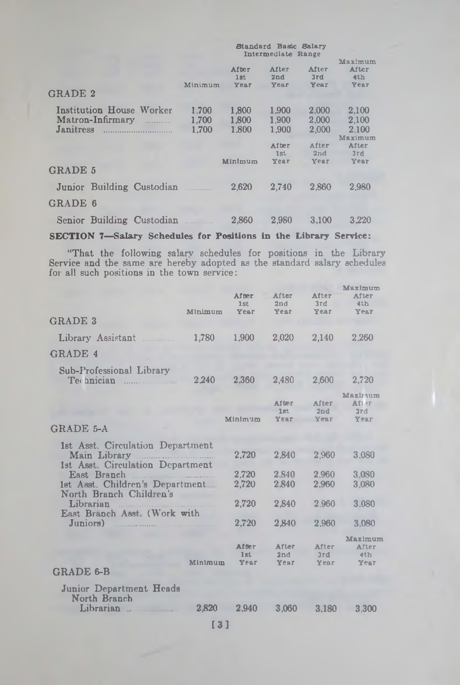| GRADE 2                                                              | Minimum                 | <b>After</b><br>1st<br><b>Year</b> | After<br>2nd<br>Year                    | After<br>3rd<br>Year                    | Maximum<br>After<br>4th<br>Year                    |
|----------------------------------------------------------------------|-------------------------|------------------------------------|-----------------------------------------|-----------------------------------------|----------------------------------------------------|
| Institution House Worker<br>Matron-Infirmary<br><b>Janitress</b><br> | 1.700<br>1.700<br>1.700 | 1,800<br>1.800<br>1.800            | 1.900<br>1.900<br>1.900<br>After<br>1st | 2.000<br>2.000<br>2.000<br>After<br>2nd | 2.100<br>2.100<br>2.100<br>Maximum<br>After<br>3rd |
| <b>GRADE 5</b>                                                       |                         | Minimum                            | Year                                    | Year                                    | Year                                               |
| Junior Building Custodian<br>GRADE 6                                 |                         | 2,620                              | 2,740                                   | 2,860                                   | 2.980                                              |
| Senior Building Custodian                                            |                         | 2,860                              | 2.980                                   | 3.100                                   | 3.220                                              |

SECTION 7—Salary Schedules for Positions in the Library Service:

"That the following salary schedules for positions in the Library Service and the same are hereby adopted as the standard salary schedules for all such positions in the town service:

|                                                                           |         | After<br>1st   | After<br>2nd                | After<br>3rd           | Maximum<br>After<br>4th          |
|---------------------------------------------------------------------------|---------|----------------|-----------------------------|------------------------|----------------------------------|
| GRADE 3                                                                   | Minimum | Year           | Чеаг                        | Year                   | Year                             |
| Library Assistant                                                         | 1,780   | 1,900          | 2,020                       | 2,140                  | 2.260                            |
| GRADE 4                                                                   |         |                |                             |                        |                                  |
| Sub-Professional Library                                                  | 2.240   | 2.360          | 2,480                       | 2,600                  | 2,720                            |
| GRADE 5-A                                                                 |         | Minimum        | <b>After</b><br>1st<br>Year | After<br>2nd -<br>Year | Maximum<br>After<br>brd.<br>Year |
| 1st Asst. Circulation Department                                          |         |                |                             |                        |                                  |
| Main Library<br>1st Asst. Circulation Department                          |         | 2,720          | 2,840                       | 2,960                  | 3.080                            |
| East Branch<br>1st Asst. Children's Department<br>North Branch Children's |         | 2.720<br>2,720 | 2.840<br>2.840              | 2.960<br>2.960         | 3.080<br>3.080                   |
| Librarian<br>East Branch Asst. (Work with                                 |         | 2,720          | 2,840                       | 2.960                  | 3.080                            |
| Juniors)                                                                  |         | 2,720          | 2.840                       | 2.960                  | 3.080                            |
|                                                                           |         | After<br>lst.  | After<br>2nd                | After<br>3rd           | Maximum<br>After<br>4th          |
| <b>GRADE 6-B</b>                                                          | Minimum | Year           | Year                        | Year                   | Year                             |
| Junior Department Heads<br>North Branch                                   |         |                |                             |                        |                                  |
|                                                                           | 2.820   | 2,940          | 3.060                       | 3.180                  | 3.300                            |
|                                                                           | F 6 3   |                |                             |                        |                                  |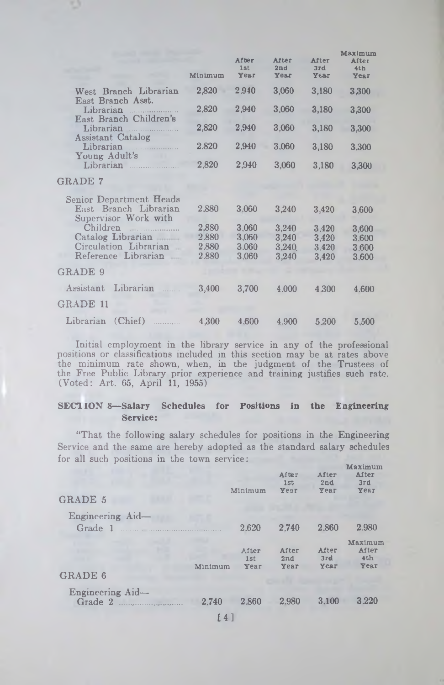|                                                                                                                                                           | Minimum                                   | After<br>1st<br>Year                      | After<br>2nd<br>Year                      | After<br>3rd<br>үєаг                      | Maximum<br>After<br>4th<br>Year           |
|-----------------------------------------------------------------------------------------------------------------------------------------------------------|-------------------------------------------|-------------------------------------------|-------------------------------------------|-------------------------------------------|-------------------------------------------|
| West Branch Librarian                                                                                                                                     | 2,820                                     | 2.940                                     | 3,060                                     | 3,180                                     | 3,300                                     |
| East Branch Asst.<br>Librarian                                                                                                                            | 2.820                                     | 2,940                                     | 3,060                                     | 3,180                                     | 3,300                                     |
| East Branch Children's<br>Librarian                                                                                                                       | 2,820                                     | 2,940                                     | 3,060                                     | 3,180                                     | 3,300                                     |
| <b>Assistant Catalog</b><br>Librarian                                                                                                                     | 2,820                                     | 2,940                                     | 3,060                                     | 3,180                                     | 3.300                                     |
| Young Adult's<br>Librarian                                                                                                                                | 2,820                                     | 2,940                                     | 3,060                                     | 3,180                                     | 3,300                                     |
| GRADE 7                                                                                                                                                   |                                           |                                           |                                           |                                           |                                           |
| Senior Department Heads<br>East Branch Librarian<br>Supervisor Work with<br>Children<br>Catalog Librarian<br>Circulation Librarian<br>Reference Librarian | 2.880<br>2.880<br>2.880<br>2,880<br>2.880 | 3,060<br>3,060<br>3,060<br>3.060<br>3.060 | 3,240<br>3.240<br>3,240<br>3.240<br>3,240 | 3,420<br>3,420<br>3,420<br>3.420<br>3,420 | 3.600<br>3,600<br>3.600<br>3.600<br>3,600 |
| GRADE 9                                                                                                                                                   |                                           |                                           |                                           |                                           |                                           |
| Librarian<br>Assistant<br>GRADE 11                                                                                                                        | 3,400                                     | 3,700                                     | 4.000                                     | 4.300                                     | 4,600                                     |
| Librarian<br>(Chief)                                                                                                                                      | 4,300                                     | 4,600                                     | 4.900                                     | 5.200                                     | 5.500                                     |

Initial employment in the library service in any of the professional positions or classifications included in this section may be at rates above the minimum rate shown, when, in the judgment of the Trustees of the Free Public Library prior experience and training justifies such rate. (Voted: Art. 65, April 11, 1955)

# **SECTION 8— Salary Schedules for Positions in the Engineering Service:**

"That the following salary schedules for positions in the Engineering Service and the same are hereby adopted as the standard salary schedules for all such positions in the town service:

| <b>GRADE 5</b>              |         | Minimum              | After<br>1st<br><b>Уеаг</b> | After<br>2nd<br>Year | Maximum<br>After<br>3rd<br>Year |
|-----------------------------|---------|----------------------|-----------------------------|----------------------|---------------------------------|
| Engineering Aid-<br>Grade 1 |         | 2.620                | 2.740                       | 2.860                | 2.980                           |
|                             |         | After<br>1st<br>Year | After<br>2nd<br>Year        | After<br>3rd<br>Year | Maximum<br>After<br>4th<br>Year |
| <b>GRADE 6</b>              | Minimum |                      |                             |                      |                                 |
| Engineering Aid-            | 2.740   | 2.860                | 2.980                       | 3.100                | 3.220                           |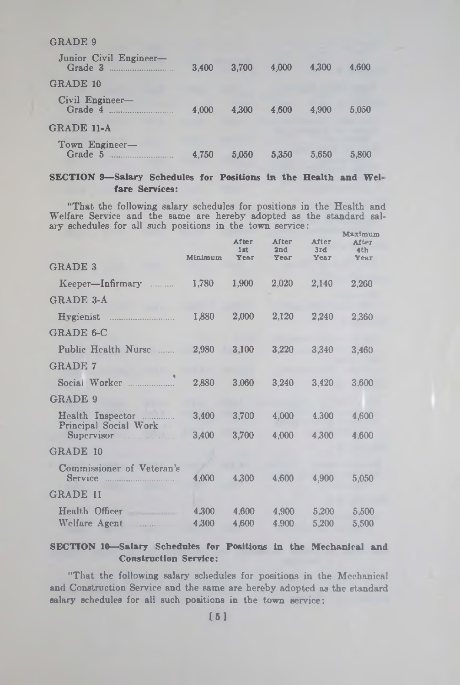| u www                             |       |       |       |       |       |
|-----------------------------------|-------|-------|-------|-------|-------|
| Junior Civil Engineer-<br>Grade 3 | 3.400 | 3.700 | 4.000 | 4.300 | 4,600 |
| GRADE 10                          |       |       |       |       |       |
| Civil Engineer-                   | 4.000 | 4.300 | 4.600 | 4.900 | 5.050 |
| <b>GRADE 11-A</b>                 |       |       |       |       |       |
| Town Engineer-                    | 4.750 | 5.050 | 5.350 | 5,650 | 5.800 |

 $CDANDQ$ 

#### SECTION 9—Salary Schedules for Positions in the Health and Wei fare Services:

"That the following salary schedules for positions in the Health and Welfare Service and the same are hereby adopted as the standard salary schedules for all such positions in the town service:

|                                     | Minimum | After<br>1st<br>Year | After<br>2nd<br>Year | After<br>3rd<br><b>Уеаг</b> | Maximum<br>After<br>4 <sub>th</sub><br><b>Year</b> |
|-------------------------------------|---------|----------------------|----------------------|-----------------------------|----------------------------------------------------|
| <b>GRADE 3</b>                      |         |                      |                      |                             |                                                    |
| Keeper—Infirmary                    | 1,780   | 1,900                | 2,020                | 2.140                       | 2,260                                              |
| <b>GRADE 3-A</b>                    |         |                      |                      |                             |                                                    |
| Hygienist                           | 1,880   | 2,000                | 2,120                | 2.240                       | 2.360                                              |
| <b>GRADE 6-C</b>                    |         |                      |                      |                             |                                                    |
| Public Health Nurse                 | 2,980   | 3,100                | 3.220                | 3,340                       | 3,460                                              |
| <b>GRADE 7</b>                      |         |                      |                      |                             |                                                    |
| Social Worker                       | 2,880   | 3.060                | 3,240                | 3,420                       | 3.600                                              |
| <b>GRADE 9</b>                      |         |                      |                      |                             |                                                    |
| Health Inspector                    | 3,400   | 3,700                | 4,000                | 4.300                       | 4,600                                              |
| Principal Social Work<br>Supervisor | 3,400   | 3,700                | 4,000                | 4,300                       | 4,600                                              |
| <b>GRADE 10</b>                     |         |                      |                      |                             |                                                    |
| Commissioner of Veteran's           |         |                      |                      |                             |                                                    |
|                                     | 4.000   | 4,300                | 4.600                | 4,900                       | 5,050                                              |
| <b>GRADE 11</b>                     |         |                      |                      |                             |                                                    |
| Health Officer                      | 4,300   | 4,600                | 4,900                | 5,200                       | 5,500                                              |
| Welfare Agent                       | 4.300   | 4,600                | 4.900                | 5.200                       | 5,500                                              |

#### SECTION 10—Salary Schedules for Positions in the Mechanical and Construction Service:

"That the following salary schedules for positions in the Mechanical and Construction Service and the same are hereby adopted as the standard salary schedules for all such positions in the town service: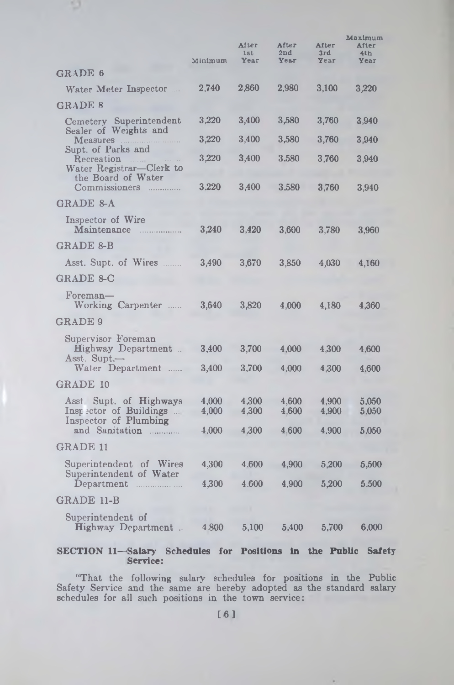|                                                                     |                | After          | After          | After          | Maximum<br>After |
|---------------------------------------------------------------------|----------------|----------------|----------------|----------------|------------------|
|                                                                     |                | 1st            | 2nd            | 3rd            | 4th              |
|                                                                     | Minimum        | Year           | Year           | Year           | Year             |
| GRADE 6                                                             |                |                |                |                |                  |
| Water Meter Inspector                                               | 2,740          | 2,860          | 2,980          | 3,100          | $3{,}220$        |
| <b>GRADE 8</b>                                                      |                |                |                |                |                  |
| Cemetery Superintendent<br>Sealer of Weights and                    | 3.220          | 3,400          | 3,580          | 3,760          | 3,940            |
| Measures<br>Supt. of Parks and                                      | 3,220          | 3,400          | 3,580          | 3,760          | 3,940            |
| $\rm Recreaction$<br>Water Registrar-Clerk to<br>the Board of Water | 3,220          | 3,400          | 3.580          | 3,760          | 3,940            |
| Commissioners                                                       | 3.220          | 3,400          | 3.580          | 3,760          | 3,940            |
| GRADE 8-A                                                           |                |                |                |                |                  |
| Inspector of Wire<br>Maintenance                                    | 3,240          | 3,420          | 3,600          | 3,780          | 3,960            |
| GRADE 8-B                                                           |                |                |                |                |                  |
| Asst. Supt. of Wires                                                | 3,490          | 3,670          | 3,850          | 4,030          | 4,160            |
| GRADE 8-C                                                           |                |                |                |                |                  |
| Foreman-<br>Working Carpenter                                       | 3,640          | 3,820          | 4,000          | 4,180          | 4,360            |
| <b>GRADE 9</b>                                                      |                |                |                |                |                  |
| Supervisor Foreman                                                  |                |                |                |                |                  |
| Highway Department<br>Asst. $Supt.$                                 | 3.400          | 3,700          | 4.000          | 4,300          | 4.600            |
| Water Department                                                    | 3,400          | 3.700          | 4.000          | 4.300          | 4.600            |
| GRADE 10                                                            |                |                |                |                |                  |
| Asst Supt. of Highways<br>Inspector of Buildings                    | 4,000<br>4,000 | 4,300<br>4.300 | 4,600<br>4.600 | 4,900<br>4.900 | 5,050<br>5.050   |
| Inspector of Plumbing                                               |                |                |                |                |                  |
| and Sanitation                                                      | 4,000          | 4.300          | 4.600          | 4,900          | 5.050            |
| GRADE 11                                                            |                |                |                |                |                  |
| Superintendent of Wires<br>Superintendent of Water                  | 4,300          | 4.600          | 4,900          | 5,200          | 5,500            |
| Department                                                          | 4,300          | 4,600          | 4,900          | 5,200          | 5,500            |
| <b>GRADE 11-B</b>                                                   |                |                |                |                |                  |
| Superintendent of<br>Highway Department                             | 4.800          | 5,100          | 5.400          | 5,700          | 6.000            |
|                                                                     |                |                |                |                |                  |

# **SECTION 11— Salary Schedules for Positions in the Public Safety Service:**

"That the following salary schedules for positions in the Public Safety Service and the same are hereby adopted as the standard salary schedules for all such positions in the town service:

×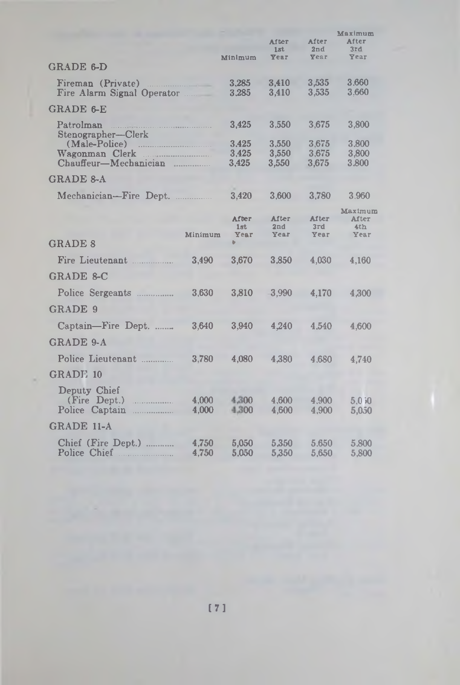|                                         |         |                |                    |                | Maximum        |
|-----------------------------------------|---------|----------------|--------------------|----------------|----------------|
|                                         |         |                | After              | After<br>2nd   | After<br>3rd   |
|                                         |         | Minlmum        | <b>ist</b><br>Теаг | Year           | <b>У</b> еат   |
| <b>GRADE 6-D</b>                        |         |                |                    |                |                |
| Fireman (Private)                       |         | 3,285          | 3,410              | 3,535          | 3.660          |
| Fire Alarm Signal Operator              |         | 3.285          | 3.410              | 3,535          | 3.660          |
| <b>GRADE 6-E</b>                        |         |                |                    |                |                |
| Patrolman                               |         | 3,425          | 3,550              | 3,675          | 3,800          |
| Stenographer-Clerk                      |         |                |                    |                |                |
| (Male-Police)                           |         | 3,425          | 3,550              | 3,675          | 3.800          |
| Wagonman Clerk<br>Chauffeur-Mechanician |         | 3,425<br>3,425 | 3,550<br>3.550     | 3,675<br>3.675 | 3,800<br>3.800 |
|                                         |         |                |                    |                |                |
| <b>GRADE 8-A</b>                        |         |                |                    |                |                |
| Mechanician-Fire Dept.                  |         | 3,420          | 3,600              | 3,780          | 3.960          |
|                                         |         |                |                    |                | Maximum        |
|                                         |         | After          | After              | After          | After          |
|                                         | Minimum | 1st<br>Year    | 2nd<br>Year        | 3rd<br>Year    | 4th<br>Year    |
| <b>GRADE 8</b>                          |         |                |                    |                |                |
| Fire Lieutenant                         | 3,490   | 3,670          | 3.850              | 4,030          | 4.160          |
| <b>GRADE 8-C</b>                        |         |                |                    |                |                |
| Police Sergeants                        | 3,630   | 3,810          | 3,990              | 4,170          | 4.300          |
| GRADE 9                                 |         |                |                    |                |                |
| Captain-Fire Dept.                      | 3,640   | 3,940          | 4.240              | 4.540          | 4,600          |
| <b>GRADE 9-A</b>                        |         |                |                    |                |                |
| Police Lieutenant                       | 3.780   | 4,080          | 4,380              | 4.680          | 4,740          |
| <b>GRADE 10</b>                         |         |                |                    |                |                |
| Deputy Chief                            |         |                |                    |                |                |
| (Fire Dept.)<br>.                       | 4.000   | 4.300          | 4.600              | 4.900          | 5.0j0          |
| Police Captain<br>.                     | 4.000   | 4.300          | 4.600              | 4.900          | 5,050          |
| GRADE 11-A                              |         |                |                    |                |                |
| Chief (Fire Dept.)<br>.                 | 4.750   | 5,050          | 5,350              | 5.650          | 5.800          |
| Police Chief                            | 4.750   | 5.050          | 5,350              | 5.650          | 5.800          |

k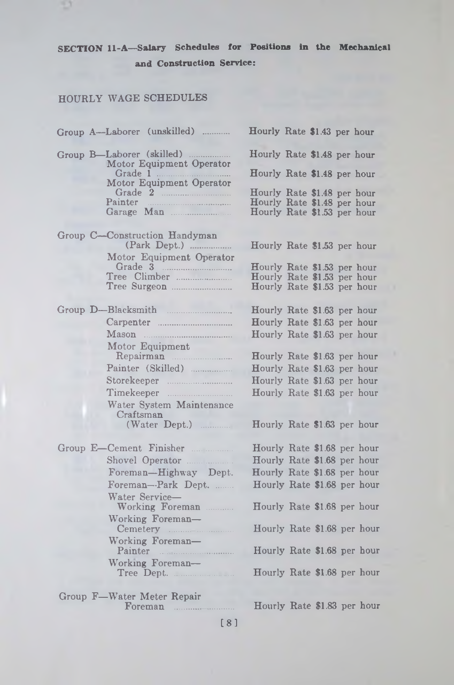# **SECTION 11-A— Salary Schedules for Positions in the Mechanical and Construction Service:**

# HOURLY WAGE SCHEDULES

Ð

| Group A-Laborer (unskilled)                           | Hourly Rate \$1.43 per hour                                |  |  |
|-------------------------------------------------------|------------------------------------------------------------|--|--|
| Group B-Laborer (skilled)<br>Motor Equipment Operator | Hourly Rate \$1.48 per hour                                |  |  |
| Grade 1<br>Motor Equipment Operator                   | Hourly Rate \$1.48 per hour                                |  |  |
|                                                       | Hourly Rate \$1.48 per hour                                |  |  |
| Painter<br>Garage Man                                 | Hourly Rate \$1.48 per hour<br>Hourly Rate \$1.53 per hour |  |  |
|                                                       |                                                            |  |  |
| Group C-Construction Handyman<br>(Park Dept.)         |                                                            |  |  |
| Motor Equipment Operator                              | Hourly Rate \$1.53 per hour                                |  |  |
| Grade 3                                               | Hourly Rate \$1.53 per hour                                |  |  |
| Tree Climber                                          | Hourly Rate \$1.53 per hour                                |  |  |
|                                                       | Hourly Rate \$1.53 per hour                                |  |  |
| Group D-Blacksmith                                    | Hourly Rate \$1.63 per hour                                |  |  |
|                                                       | Hourly Rate \$1.63 per hour                                |  |  |
| Mason                                                 | Hourly Rate \$1.63 per hour                                |  |  |
| Motor Equipment                                       |                                                            |  |  |
| Repairman                                             | Hourly Rate \$1.63 per hour                                |  |  |
| Painter (Skilled)                                     | Hourly Rate \$1.63 per hour                                |  |  |
| Storekeeper                                           | Hourly Rate \$1.63 per hour                                |  |  |
|                                                       | Hourly Rate \$1.63 per hour                                |  |  |
| Water System Maintenance<br>Craftsman                 |                                                            |  |  |
| (Water Dept.)                                         | Hourly Rate \$1.63 per hour                                |  |  |
| Group E-Cement Finisher                               | Hourly Rate \$1.68 per hour                                |  |  |
|                                                       | Hourly Rate \$1.68 per hour                                |  |  |
| Foreman-Highway Dept.                                 | Hourly Rate \$1.68 per hour                                |  |  |
| Foreman-Park Dept.<br>Water Service-                  | Hourly Rate \$1.68 per hour                                |  |  |
| Working Foreman                                       | Hourly Rate \$1.68 per hour                                |  |  |
| Working Foreman-                                      |                                                            |  |  |
| Working Foreman-                                      | Hourly Rate \$1.68 per hour                                |  |  |
| Painter Marian Marian Maria                           | Hourly Rate \$1.68 per hour                                |  |  |
| Working Foreman-<br>Tree Dept.                        | Hourly Rate \$1.68 per hour                                |  |  |
| Group F-Water Meter Repair                            |                                                            |  |  |
|                                                       | Hourly Rate \$1.83 per hour                                |  |  |

**[ 8 ]**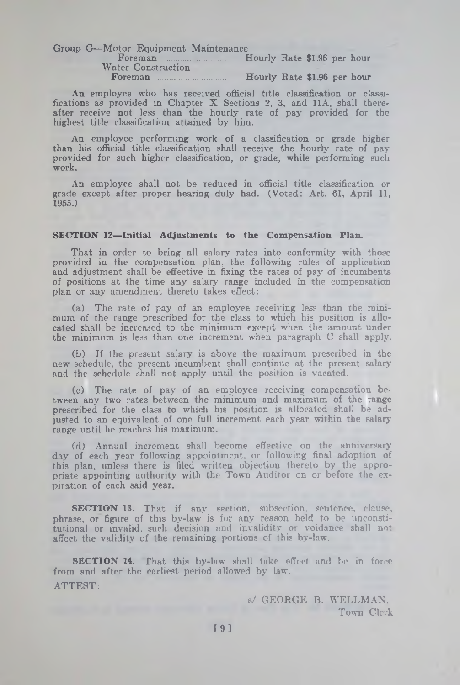**Group G— Motor Equipment Maintenance**

Foreman **Hourly Rate \$1.96 per hour** Water Construction

Foreman ............

**Hourly Rate \$1.96 per hour** 

An employee who has received official title classification or classifications as provided in Chapter X Sections 2, 3, and 11A, shall thereafter receive not less than the hourly rate of pay provided for the highest title classification attained by him.

An employee performing work of a classification or grade higher than his official title classification shall receive the hourly rate of pay provided for such higher classification, or grade, while performing such work.

An employee shall not be reduced in official title classification or grade except after proper hearing duly had. (Voted: Art. 61, April 11, 1955.)

#### SECTION 12—Initial Adjustments to the Compensation Plan.

That in order to bring all salary rates into conformity with those provided in the compensation plan, the following rules of application and adjustment shall be effective in fixing the rates of pay of incumbents of positions at the time any salary range included in the compensation plan or any amendment thereto takes effect:

(a) The rate of pay of an employee receiving less than the minimum of the range prescribed for the class to which his position is allocated shall be increased to the minimum except when the amount under the minimum is less than one increment when paragraph C shall apply.

(b) If the present salary is above the maximum prescribed in the new schedule, the present incumbent shall continue at the present salary and the schedule shall not apply until the position is vacated.

(c) The rate of pay of an employee receiving compensation between any two rates between the minimum and maximum of the range prescribed for the class to which his position is allocated shall be adjusted to an equivalent of one full increment each year within the salary range until he reaches his maximum.

(d) Annual increment shall become effective on the anniversaryday of each year following appointment, or following final adoption of this plan, unless there is filed written objection thereto by the appropriate appointing authority with the Town Auditor on or before the expiration of each said year.

SECTION 13. That if any section, subsection, sentence, clause, ■phrase, or figure of this by-law is for any reason held to be unconstitutional or invalid, such decision and invalidity or voidance shall not affect the validity of the remaining portions of this by-law.

SECTION 14. That this by-law shall take effect and be in force from and after the earliest period allowed by law. ATTEST:

> a/ GEORGE B. WELLMAN. Town Clerk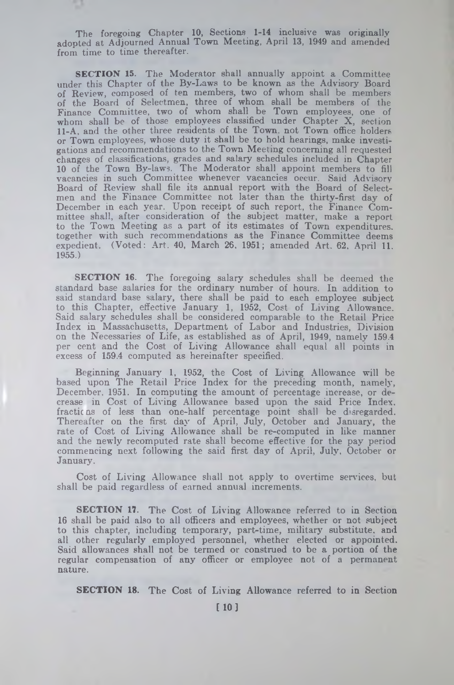The foregoing Chapter 10, Sections 1-14 inclusive was originally adopted at Adjourned Annual Town Meeting, April 13, 1949 and amended from time to time thereafter.

**SECTION 15.** The Moderator shall annually appoint a Committee under this Chapter of the By-Laws to be known as the Advisory Board of Review, composed of ten members, two of whom shall be members of the Board of Selectmen, three of whom shall be members of the Finance Committee, two of whom shall be Town employees, one of whom shall be of those employees classified under Chapter X, section 11-A, and the other three residents of the Town, not Town office holders or Town employees, whose duty it shall be to hold hearings, make investigations and recommendations to the Town Meeting concerning all requested changes of classifications, grades and salary schedules included in Chapter 10 of the Town By-laws. The Moderator shall appoint members to fill vacancies in such Committee whenever vacancies occur. Said Advisory Board of Review shall file its annual report with the Board of Selectmen and the Finance Committee not later than the thirty-first day of December in each year. Upon receipt of such report, the Finance Committee shall, after consideration of the subject matter, make a report to the Town Meeting as a part of its estimates of Town expenditures, together with such recommendations as the Finance Committee deems expedient. (Voted: Art. 40, March 26, 1951; amended Art. 62. April 11. 1955.)

**SECTION 16.** The foregoing salary schedules shall be deemed the standard base salaries for the ordinary number of hours. In addition to said standard base salary, there shall be paid to each employee subject to this Chapter, effective January 1, 1952, Cost of Living Allowance. Said salary schedules shall be considered comparable to the Retail Price Index in Massachusetts, Department of Labor and Industries, Division on the Necessaries of Life, as established as of April, 1949, namely 159.4 per cent and the Cost of Living Allowance shall equal all points in excess of 159.4 computed as hereinafter specified.

Beginning January 1, 1952, the Cost of Living Allowance will be based upon The Retail Price Index for the preceding month, namely, December, 1951. In computing the amount of percentage increase, or decrease in Cost of Living Allowance based upon the said Price Index, fractic as of less than one-half percentage point shall be disregarded. Thereafter on the first day of April, July, October and January, the rate of Cost of Living Allowance shall be re-computed in like manner and the newly recomputed rate shall become effective for the pay period commencing next following the said first day of April, July, October or January.

Cost of Living Allowance shall not apply to overtime services, but shall be paid regardless of earned annual increments.

**SECTION 17.** The Cost of Living Allowance referred to in Section 16 shall be paid also to all officers and employees, whether or not subject to this chapter, including temporary, part-time, military substitute, and all other regularly employed personnel, whether elected or appointed. Said allowances shall not be termed or construed to be a portion of the regular compensation of any officer or employee not of a permanent nature.

SECTION 18. The Cost of Living Allowance referred to in Section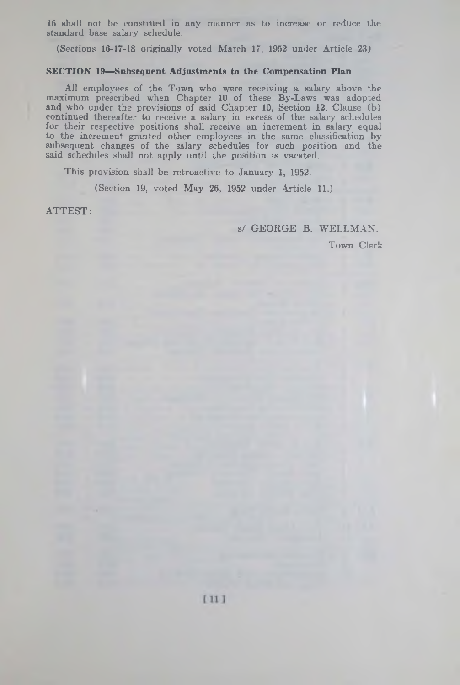16 shall **Dot** be construed in any manner as to increase or reduce the standard base salary schedule.

(Sections 16-17-18 originally voted March 17, 1952 under Article 23)

#### SECTION 19—Subsequent Adjustments to the Compensation Plan.

All employees of the Town who were receiving a salary above the maximum prescribed when Chapter 10 of these By-Laws was adopted and who under the provisions of said Chapter 10, Section 12, Clause (b) continued thereafter to receive a salary in excess of the salary schedules for their respective positions shall receive an increment in salary equal to the increment granted other employees in the same classification by subsequent changes of the salary schedules for such position and the said schedules shall not apply until the position is vacated.

This provision shall be retroactive to January 1, 1952.

(Section 19, voted May 26, 1952 under Article 11.)

ATTEST:

s/ GEORGE B. WELLMAN,

Town Clerk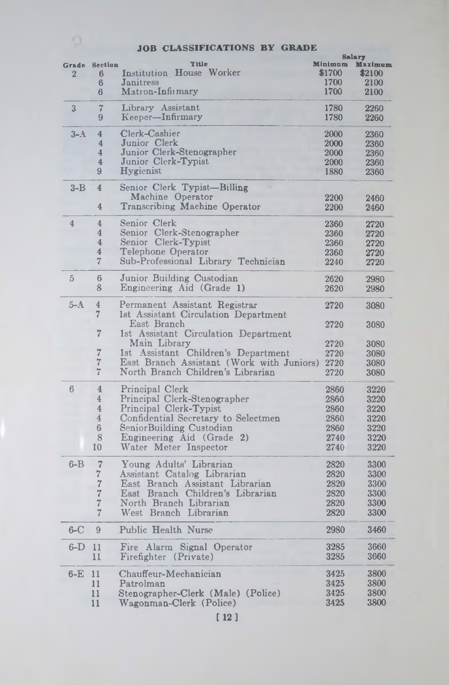|                |                 |                                                |         | <b>Salary</b> |
|----------------|-----------------|------------------------------------------------|---------|---------------|
|                | Grade Section   | Title                                          | Minimum | Maximum       |
| $\overline{2}$ | 6               | Institution House Worker                       | \$1700  | \$2100        |
|                | 6               | <b>Janitress</b>                               | 1700    | 2100          |
|                | 6               | Matron-Infirmary                               | 1700    | 2100          |
| 3              | 7               | Library Assistant                              | 1780    | 2260          |
|                | 9               | Keeper-Infirmary                               | 1780    | 2260          |
| $3 - A$        | $\overline{4}$  | Clerk-Cashier                                  | 2000    | 2360          |
|                | $\overline{4}$  | Junior Clerk                                   | 2000    | 2360          |
|                | 4               | Junior Clerk-Stenographer                      | 2000    | 2360          |
|                | $\overline{4}$  | Junior Clerk-Typist                            | 2000    | 2360          |
|                | 9               | Hygienist                                      | 1880    | 2360          |
| $3 - B$        | 4               | Senior Clerk Typist-Billing                    |         |               |
|                |                 | Machine Operator                               | 2200    | 2460          |
|                | 4               | Transcribing Machine Operator                  | 2200    | 2460          |
| 4              | 4               | Senior Clerk                                   | 2360    | 2720          |
|                | 4               | Senior Clerk-Stenographer                      | 2360    | 2720          |
|                | 4               | Senior Clerk-Typist                            | 2360    | 2720          |
|                | $\overline{4}$  | Telephone Operator                             | 2360    | 2720          |
|                | $\overline{7}$  | Sub-Professional Library Technician            | 2240    | 2720          |
|                |                 |                                                |         |               |
| 5              | $6\phantom{.}6$ | Junior Building Custodian                      | 2620    | 2980          |
|                | 8               | Engineering Aid (Grade 1)                      | 2620    | 2980          |
| $5 - A$        | $\overline{4}$  | Permanent Assistant Registrar                  | 2720    | 3080          |
|                | $\overline{7}$  | 1st Assistant Circulation Department           |         |               |
|                |                 | East Branch                                    | 2720    | 3080          |
|                | 7               | 1st Assistant Circulation Department           |         |               |
|                |                 | Main Library                                   | 2720    | 3080          |
|                | 7               | 1st Assistant Children's Department            | 2720    | 3080          |
|                | 7               | East Branch Assistant (Work with Juniors) 2720 |         | 3080          |
|                | 7               | North Branch Children's Librarian              | 2720    | 3080          |
| 6              | $\overline{4}$  | Principal Clerk                                | 2860    | 3220          |
|                | $\overline{4}$  | Principal Clerk-Stenographer                   | 2860    | 3220          |
|                |                 |                                                |         |               |
|                | 4               | Principal Clerk-Typist                         | 2860    | 3220          |
|                | $\overline{4}$  | Confidential Secretary to Selectmen            | 2860    | 3220          |
|                | 6               | SeniorBuilding Custodian                       | 2860    | 3220          |
|                | 8               | Engineering Aid (Grade 2)                      | 2740    | 3220          |
|                | 10              | Water Meter Inspector                          | 2740    | 3220          |
| $6 - B$        | $\overline{7}$  | Young Adults' Librarian                        | 2820    | 3300          |
|                | $\overline{7}$  | Assistant Catalog Librarian                    | 2820    | 3300          |
|                | $\overline{7}$  | East Branch Assistant Librarian                | 2820    | 3300          |
|                | $\overline{7}$  | East Branch Children's Librarian               | 2820    | $3300\,$      |
|                | $\overline{7}$  | North Branch Librarian                         | 2820    | 3300          |
|                | $\overline{7}$  | West Branch Librarian                          | 2820    | 3300          |
|                |                 |                                                |         |               |
| $6-C$          | 9               | Public Health Nurse                            | 2980    | 3460          |
| $6-D$          | 11              | Fire Alarm Signal Operator                     | 3285    | 3660          |
|                | 11              | Firefighter (Private)                          | 3285    | 3660          |
| 6-E            | 11              | Chauffeur-Mechanician                          | 3425    | 3800          |
|                | 11              | Patrolman                                      | 3425    | 3800          |
|                | 11              | Stenographer-Clerk (Male) (Police)             | 3425    | 3800          |
|                |                 |                                                |         |               |
|                | 11              | Wagonman-Clerk (Police)                        | 3425    | 3800          |

## **JOB CLASSIFICATIONS BY GRADE**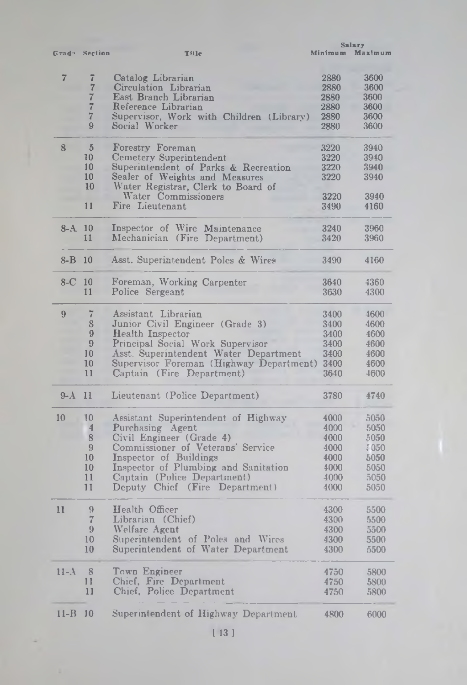|                |                           |                                          | <b>Salary</b> |         |
|----------------|---------------------------|------------------------------------------|---------------|---------|
|                | Grad <sup>®</sup> Section | <b>Tille</b>                             | Minimum       | Maximum |
|                |                           |                                          |               |         |
| $\overline{7}$ | 7                         | Catalog Librarian                        | 2880          | 3600    |
|                | $\overline{7}$            | Circulation Librarian                    | 2880          | 3600    |
|                | $\overline{7}$            | East Branch Librarian                    | 2880          | 3600    |
|                | 7                         | Reference Librarian                      | 2880          | 3600    |
|                | 7                         | Supervisor, Work with Children (Library) | 2880          | 3600    |
|                | 9                         | Social Worker                            | 2880          | 3600    |
| 8              | $\overline{5}$            | Forestry Foreman                         | 3220          | 3940    |
|                | 10                        | Cemetery Superintendent                  | 3220          | 3940    |
|                | 10                        | Superintendent of Parks & Recreation     | 3220          | 3940    |
|                | 10                        | Sealer of Weights and Measures           | 3220          | 3940    |
|                | 10                        | Water Registrar, Clerk to Board of       |               |         |
|                |                           | Water Commissioners                      | 3220          | 3940    |
|                | 11                        | Fire Lieutenant                          | 3490          | 4160    |
|                |                           |                                          |               |         |
| $8 - A$ 10     |                           | Inspector of Wire Maintenance            | 3240          | 3960    |
|                | 11                        | Mechanician (Fire Department)            | 3420          | 3960    |
| $8 - B$        | 10                        | Asst. Superintendent Poles & Wires       | 3490          | 4160    |
| 8-C            | 10                        | Foreman, Working Carpenter               | 3640          | 4360    |
|                | 11                        | Police Sergeant                          | 3630          | 4300    |
|                |                           |                                          |               |         |
| 9              | 7                         | Assistant Librarian                      | 3400          | 4600    |
|                | 8                         | Junior Civil Engineer (Grade 3)          | 3400          | 4600    |
|                | 9                         | Health Inspector                         | 3400          | 4600    |
|                | $\boldsymbol{9}$          | Principal Social Work Supervisor         | 3400          | 4600    |
|                | 10                        | Asst. Superintendent Water Department    | 3400          | 4600    |
|                | 10                        | Supervisor Foreman (Highway Department)  | 3400          | 4600    |
|                | 11                        | Captain (Fire Department)                | 3640          | 4600    |
|                |                           |                                          |               |         |
| $9 - A$        | 11                        | Lieutenant (Police Department)           | 3780          | 4740    |
| 10             | 10                        | Assistant Superintendent of Highway      | 4000          | 5050    |
|                | $\overline{4}$            | Purchasing Agent                         | 4000          | 5050    |
|                | 8                         | Civil Engineer (Grade 4)                 | 4000          | 5050    |
|                | 9                         | Commissioner of Veterans' Service        | 4000          | \$050   |
|                | 10                        | Inspector of Buildings                   | 4000          | 5050    |
|                | 10                        | Inspector of Plumbing and Sanitation     | 4000          | 5050    |
|                | 11                        | Captain (Police Department)              | 4000          | 5050    |
|                | 11                        | Deputy Chief (Fire Department)           | 4000          | 5050    |
|                |                           |                                          |               |         |
| 11             | 9                         | Health Officer                           | 4300          | 5500    |
|                | $\overline{7}$            | Librarian (Chief)                        | 4300          | 5500    |
|                | 9                         | Welfare Agent                            | 4300          | 5500    |
|                | 10                        | Superintendent of Poles and Wires        | 4300          | 5500    |
|                | 10                        | Superintendent of Water Department       | 4300          | 5500    |
| $11-A$         | 8                         | Town Engineer                            | 4750          | 5800    |
|                | 11                        | Chief, Fire Department.                  | 4750          | 5800    |
|                | 11                        | Chief, Police Department                 | 4750          | 5800    |
| $11 - B$ 10    |                           |                                          |               |         |
|                |                           | Superintendent of Highway Department     | 4800          | 6000    |